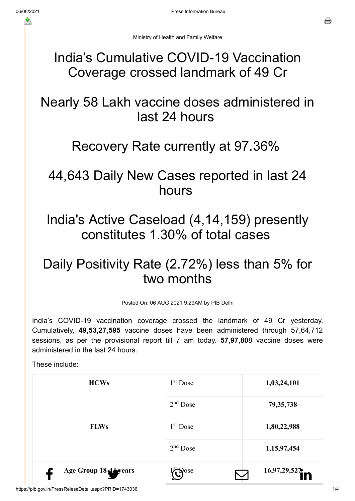Ministry of Health and Family Welfare

#### India's Cumulative COVID-19 Vaccination Coverage crossed landmark of 49 Cr

## Nearly 58 Lakh vaccine doses administered in last 24 hours

#### Recovery Rate currently at 97.36%

## 44,643 Daily New Cases reported in last 24 hours

India's Active Caseload (4,14,159) presently constitutes 1.30% of total cases

# Daily Positivity Rate (2.72%) less than 5% for two months

Posted On: 06 AUG 2021 9:29AM by PIB Delhi

India's COVID-19 vaccination coverage crossed the landmark of 49 Cr yesterday. Cumulatively, **49,53,27,595** vaccine doses have been administered through 57,64,712 sessions, as per the provisional report till 7 am today. **57,97,80**8 vaccine doses were administered in the last 24 hours.

These include:

| <b>HCWs</b>           | $1st$ Dose  | 1,03,24,101  |
|-----------------------|-------------|--------------|
|                       | $2nd$ Dose  | 79, 35, 738  |
| <b>FLWs</b>           | $1st$ Dose  | 1,80,22,988  |
|                       | $2nd$ Dose  | 1,15,97,454  |
| Age Group 18-44 years | <b>Pose</b> | 16,97,29,527 |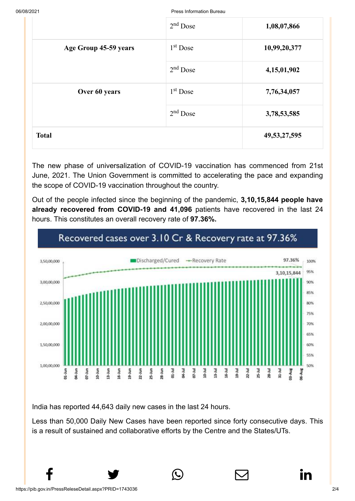06/08/2021 Press Information Bureau

|                       | $2nd$ Dose           | 1,08,07,866     |
|-----------------------|----------------------|-----------------|
| Age Group 45-59 years | 1 <sup>st</sup> Dose | 10,99,20,377    |
|                       | $2nd$ Dose           | 4,15,01,902     |
| Over 60 years         | 1 <sup>st</sup> Dose | 7,76,34,057     |
|                       | $2nd$ Dose           | 3,78,53,585     |
| <b>Total</b>          |                      | 49, 53, 27, 595 |

The new phase of universalization of COVID-19 vaccination has commenced from 21st June, 2021. The Union Government is committed to accelerating the pace and expanding the scope of COVID-19 vaccination throughout the country.

Out of the people infected since the beginning of the pandemic, **3,10,15,844 people have already recovered from COVID-19 and 41,096** patients have recovered in the last 24 hours. This constitutes an overall recovery rate of **97.36%.**



India has reported 44,643 daily new cases in the last 24 hours.

Less than 50,000 Daily New Cases have been reported since forty consecutive days. This is a result of sustained and collaborative efforts by the Centre and the States/UTs.

 $f$  y  $\circledcirc$   $\quad \circ$  in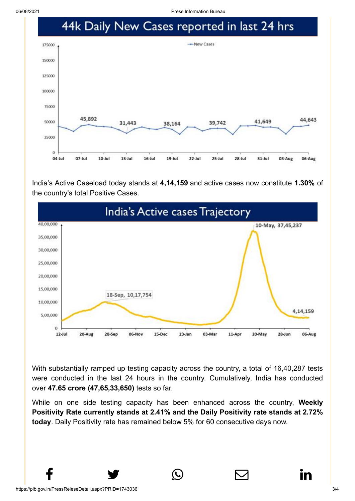06/08/2021 Press Information Bureau



India's Active Caseload today stands at **4,14,159** and active cases now constitute **1.30%** of the country's total Positive Cases.



With substantially ramped up testing capacity across the country, a total of 16,40,287 tests were conducted in the last 24 hours in the country. Cumulatively, India has conducted over **47.65 crore (47,65,33,650)** tests so far.

While on one side testing capacity has been enhanced across the country, **Weekly Positivity Rate currently stands at 2.41% and the Daily Positivity rate stands at 2.72% today**. Daily Positivity rate has remained below 5% for 60 consecutive days now.

 $f$  y  $\circledcirc$   $\quad \circledcirc$  in